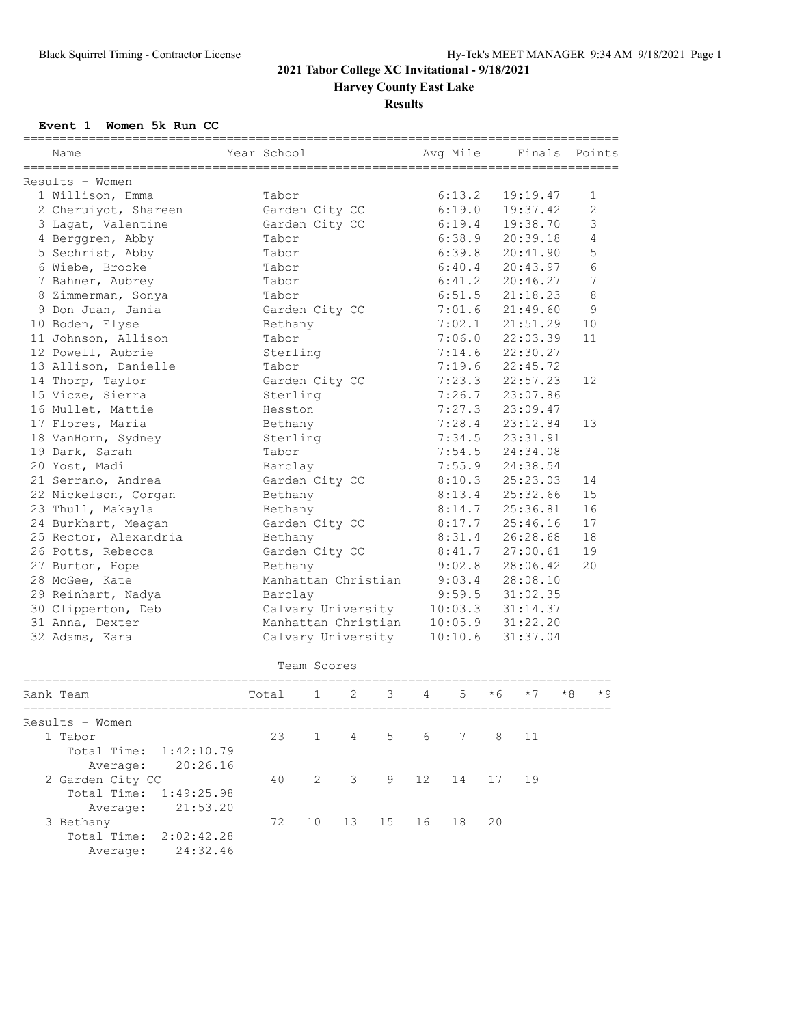# **2021 Tabor College XC Invitational - 9/18/2021**

## **Harvey County East Lake**

**Results**

#### **Event 1 Women 5k Run CC**

| Name                      |  | Year School         |                       |    |    |        | Avg Mile |          | Finals               |      | Points         |
|---------------------------|--|---------------------|-----------------------|----|----|--------|----------|----------|----------------------|------|----------------|
|                           |  |                     |                       |    |    |        |          |          |                      |      |                |
| Results - Women           |  |                     |                       |    |    |        |          |          |                      |      |                |
| 1 Willison, Emma          |  | Tabor               |                       |    |    | 6:13.2 | 19:19.47 |          |                      | 1    |                |
| 2 Cheruiyot, Shareen      |  | Garden City CC      |                       |    |    |        | 6:19.0   | 19:37.42 |                      |      | $\overline{2}$ |
| 3 Lagat, Valentine        |  |                     | Garden City CC        |    |    |        | 6:19.4   |          | 19:38.70             |      | 3              |
| 4 Berggren, Abby          |  | Tabor               |                       |    |    |        | 6:38.9   |          | 20:39.18             |      | 4              |
| 5 Sechrist, Abby          |  | Tabor               |                       |    |    |        | 6:39.8   |          | 20:41.90             |      | 5              |
| 6 Wiebe, Brooke           |  | Tabor               |                       |    |    |        | 6:40.4   |          | 20:43.97<br>20:46.27 |      | 6              |
| 7 Bahner, Aubrey          |  |                     | Tabor                 |    |    |        | 6:41.2   |          | 7                    |      |                |
| 8 Zimmerman, Sonya        |  | Tabor               |                       |    |    |        | 6:51.5   | 21:18.23 | 8                    |      |                |
| 9 Don Juan, Jania         |  | Garden City CC      |                       |    |    |        | 7:01.6   | 21:49.60 | 9                    |      |                |
| 10 Boden, Elyse           |  | Bethany             |                       |    |    |        | 7:02.1   |          | 21:51.29             |      | 10             |
| 11 Johnson, Allison       |  | Tabor               |                       |    |    |        | 7:06.0   |          | 22:03.39             |      | 11             |
| 12 Powell, Aubrie         |  | Sterling            |                       |    |    |        | 7:14.6   |          | 22:30.27             |      |                |
| 13 Allison, Danielle      |  | Tabor               |                       |    |    |        | 7:19.6   |          | 22:45.72             |      |                |
| 14 Thorp, Taylor          |  |                     | Garden City CC        |    |    |        | 7:23.3   |          | 22:57.23             |      | 12             |
| 15 Vicze, Sierra          |  | Sterling            |                       |    |    |        | 7:26.7   |          | 23:07.86             |      |                |
| 16 Mullet, Mattie         |  | Hesston             |                       |    |    |        | 7:27.3   |          | 23:09.47             |      |                |
| 17 Flores, Maria          |  | Bethany             |                       |    |    |        | 7:28.4   |          | 23:12.84             |      | 13             |
| 18 VanHorn, Sydney        |  | Sterling            |                       |    |    |        | 7:34.5   |          | 23:31.91             |      |                |
| 19 Dark, Sarah            |  | Tabor               |                       |    |    |        | 7:54.5   |          | 24:34.08             |      |                |
| 20 Yost, Madi             |  | Barclay             |                       |    |    |        | 7:55.9   |          | 24:38.54             |      |                |
| 21 Serrano, Andrea        |  | Garden City CC      |                       |    |    |        | 8:10.3   |          | 25:23.03             |      | 14             |
| 22 Nickelson, Corgan      |  |                     | Bethany               |    |    |        | 8:13.4   |          | 25:32.66             |      | 15             |
| 23 Thull, Makayla         |  | Bethany             |                       |    |    |        | 8:14.7   |          | 25:36.81             |      | 16             |
| 24 Burkhart, Meagan       |  | Garden City CC      |                       |    |    |        | 8:17.7   |          | 25:46.16             |      | 17             |
| 25 Rector, Alexandria     |  |                     | Bethany               |    |    |        | 8:31.4   | 26:28.68 |                      |      | 18             |
| 26 Potts, Rebecca         |  |                     | Garden City CC        |    |    |        | 8:41.7   | 27:00.61 |                      |      | 19             |
| 27 Burton, Hope           |  |                     | Bethany               |    |    |        | 9:02.8   | 28:06.42 |                      |      | 20             |
| 28 McGee, Kate            |  |                     | Manhattan Christian   |    |    |        | 9:03.4   | 28:08.10 |                      |      |                |
| 29 Reinhart, Nadya        |  |                     | Barclay               |    |    |        | 9:59.5   | 31:02.35 |                      |      |                |
| 30 Clipperton, Deb        |  |                     | Calvary University    |    |    |        | 10:03.3  | 31:14.37 |                      |      |                |
| 31 Anna, Dexter           |  | Manhattan Christian |                       |    |    |        | 10:05.9  | 31:22.20 |                      |      |                |
| 32 Adams, Kara            |  |                     | Calvary University    |    |    |        | 10:10.6  | 31:37.04 |                      |      |                |
|                           |  |                     |                       |    |    |        |          |          |                      |      |                |
|                           |  |                     | Team Scores           |    |    |        |          |          |                      |      |                |
| Rank Team                 |  | Total               | 1                     | 2  | 3  | 4      | 5        | * 6      | $*7$                 | $*8$ | $*9$           |
| --------------------      |  |                     |                       |    |    |        |          |          |                      |      |                |
| Results - Women           |  |                     |                       |    |    |        |          |          |                      |      |                |
| 1 Tabor                   |  | 23                  | $\mathbf{1}$          | 4  | 5  | 6      | 7        | 8        | 11                   |      |                |
| Total Time:<br>1:42:10.79 |  |                     |                       |    |    |        |          |          |                      |      |                |
| 20:26.16<br>Average:      |  |                     |                       |    |    |        |          |          |                      |      |                |
| 2 Garden City CC          |  | 40                  | $\mathbf{2}^{\prime}$ | 3  | 9  | 12     | 14       | 17       | 19                   |      |                |
| Total Time:<br>1:49:25.98 |  |                     |                       |    |    |        |          |          |                      |      |                |
| Average:<br>21:53.20      |  |                     |                       |    |    |        |          |          |                      |      |                |
| 3 Bethany                 |  | 72                  | 10                    | 13 | 15 | 16     | 18       | 20       |                      |      |                |
| Total Time:<br>2:02:42.28 |  |                     |                       |    |    |        |          |          |                      |      |                |
| 24:32.46<br>Average:      |  |                     |                       |    |    |        |          |          |                      |      |                |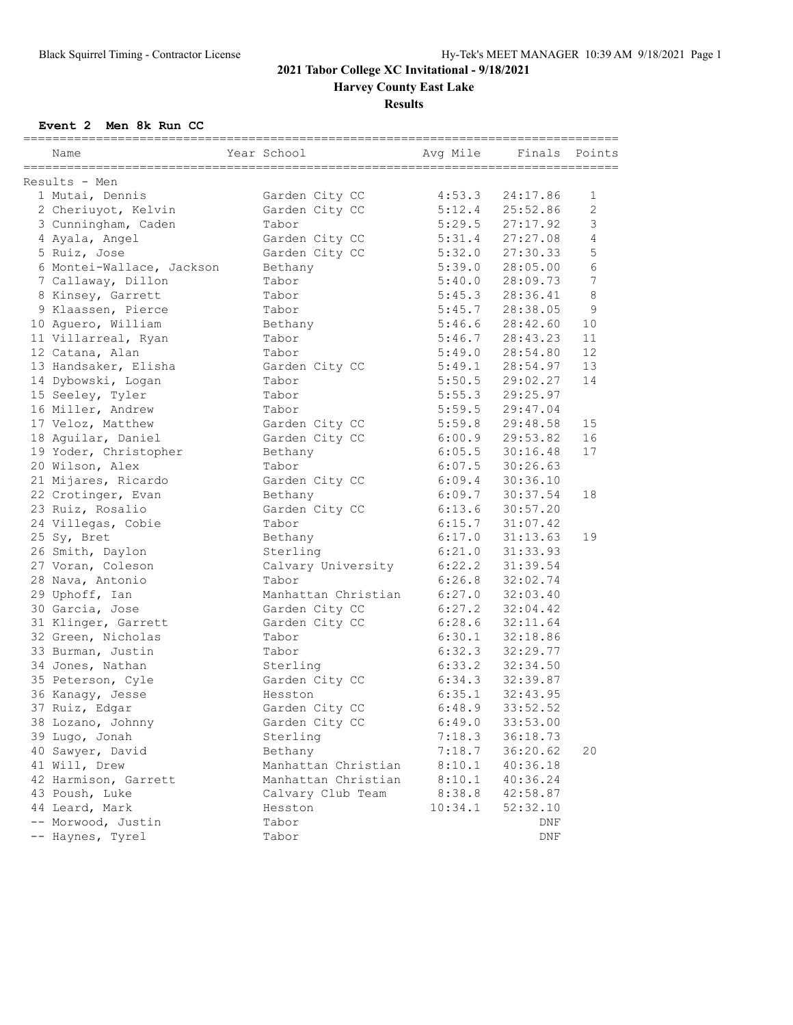### **2021 Tabor College XC Invitational - 9/18/2021 Harvey County East Lake**

**Results**

**Event 2 Men 8k Run CC**

| Name                      | Year School         | Avg Mile | Finals             | Points     |
|---------------------------|---------------------|----------|--------------------|------------|
| Results - Men             |                     |          |                    |            |
| 1 Mutai, Dennis           | Garden City CC      | 4:53.3   | 24:17.86           | 1          |
| 2 Cheriuyot, Kelvin       | Garden City CC      | 5:12.4   | 25:52.86           | 2          |
| 3 Cunningham, Caden       | Tabor               | 5:29.5   | 27:17.92           | 3          |
| 4 Ayala, Angel            | Garden City CC      | 5:31.4   | 27:27.08           | 4          |
| 5 Ruiz, Jose              | Garden City CC      | 5:32.0   | 27:30.33           | 5          |
| 6 Montei-Wallace, Jackson | Bethany             | 5:39.0   | 28:05.00           | 6          |
| 7 Callaway, Dillon        | Tabor               | 5:40.0   | 28:09.73           | $\sqrt{ }$ |
| 8 Kinsey, Garrett         | Tabor               | 5:45.3   | 28:36.41           | 8          |
| 9 Klaassen, Pierce        | Tabor               | 5:45.7   | 28:38.05           | 9          |
| 10 Aquero, William        | Bethany             | 5:46.6   | 28:42.60           | 10         |
| 11 Villarreal, Ryan       | Tabor               | 5:46.7   | 28:43.23           | 11         |
| 12 Catana, Alan           | Tabor               | 5:49.0   | 28:54.80           | 12         |
| 13 Handsaker, Elisha      | Garden City CC      | 5:49.1   | 28:54.97           | 13         |
| 14 Dybowski, Logan        | Tabor               | 5:50.5   | 29:02.27           | 14         |
| 15 Seeley, Tyler          | Tabor               | 5:55.3   | 29:25.97           |            |
| 16 Miller, Andrew         | Tabor               | 5:59.5   | 29:47.04           |            |
| 17 Veloz, Matthew         | Garden City CC      | 5:59.8   | 29:48.58           | 15         |
| 18 Aquilar, Daniel        | Garden City CC      | 6:00.9   | 29:53.82           | 16         |
| 19 Yoder, Christopher     | Bethany             | 6:05.5   | 30:16.48           | 17         |
| 20 Wilson, Alex           | Tabor               | 6:07.5   | 30:26.63           |            |
| 21 Mijares, Ricardo       | Garden City CC      | 6:09.4   | 30:36.10           |            |
| 22 Crotinger, Evan        | Bethany             | 6:09.7   | 30:37.54           | 18         |
| 23 Ruiz, Rosalio          | Garden City CC      | 6:13.6   | 30:57.20           |            |
| 24 Villegas, Cobie        | Tabor               | 6:15.7   | 31:07.42           |            |
| 25 Sy, Bret               | Bethany             | 6:17.0   | 31:13.63           | 19         |
| 26 Smith, Daylon          | Sterling            | 6:21.0   | 31:33.93           |            |
| 27 Voran, Coleson         | Calvary University  | 6:22.2   | 31:39.54           |            |
| 28 Nava, Antonio          | Tabor               | 6:26.8   | 32:02.74           |            |
| 29 Uphoff, Ian            | Manhattan Christian | 6:27.0   | 32:03.40           |            |
| 30 Garcia, Jose           | Garden City CC      | 6:27.2   | 32:04.42           |            |
| 31 Klinger, Garrett       | Garden City CC      | 6:28.6   | 32:11.64           |            |
| 32 Green, Nicholas        | Tabor               | 6:30.1   | 32:18.86           |            |
| 33 Burman, Justin         | Tabor               | 6:32.3   | 32:29.77           |            |
| 34 Jones, Nathan          | Sterling            | 6:33.2   | 32:34.50           |            |
| 35 Peterson, Cyle         | Garden City CC      | 6:34.3   | 32:39.87           |            |
| 36 Kanagy, Jesse          | Hesston             | 6:35.1   | 32:43.95           |            |
| 37 Ruiz, Edgar            | Garden City CC      | 6:48.9   | 33:52.52           |            |
| 38 Lozano, Johnny         | Garden City CC      | 6:49.0   | 33:53.00           |            |
| 39 Lugo, Jonah            | Sterling            | 7:18.3   | 36:18.73           |            |
| 40 Sawyer, David          | Bethany             | 7:18.7   | 36:20.62           | 20         |
| 41 Will, Drew             | Manhattan Christian | 8:10.1   | 40:36.18           |            |
| 42 Harmison, Garrett      | Manhattan Christian | 8:10.1   | 40:36.24           |            |
| 43 Poush, Luke            | Calvary Club Team   | 8:38.8   | 42:58.87           |            |
| 44 Leard, Mark            | Hesston             | 10:34.1  | 52:32.10           |            |
| -- Morwood, Justin        | Tabor               |          | DNF                |            |
| -- Haynes, Tyrel          | Tabor               |          | $\mathop{\rm DNF}$ |            |